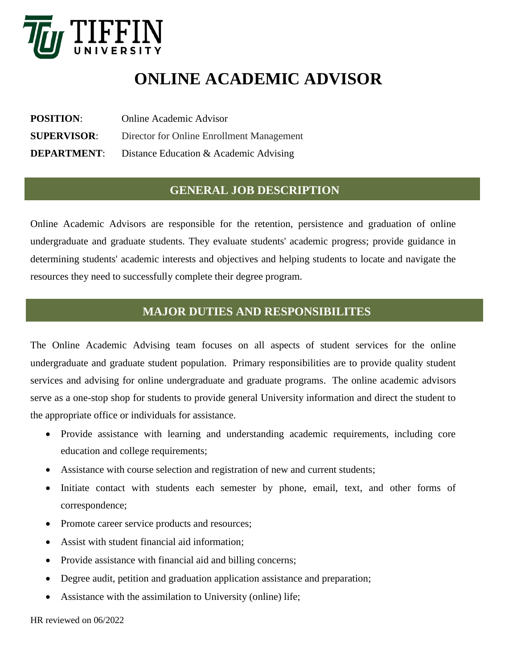

# **ONLINE ACADEMIC ADVISOR**

**POSITION**: Online Academic Advisor **SUPERVISOR**: Director for Online Enrollment Management **DEPARTMENT:** Distance Education & Academic Advising

### **GENERAL JOB DESCRIPTION**

Online Academic Advisors are responsible for the retention, persistence and graduation of online undergraduate and graduate students. They evaluate students' academic progress; provide guidance in determining students' academic interests and objectives and helping students to locate and navigate the resources they need to successfully complete their degree program.

## **MAJOR DUTIES AND RESPONSIBILITES**

The Online Academic Advising team focuses on all aspects of student services for the online undergraduate and graduate student population. Primary responsibilities are to provide quality student services and advising for online undergraduate and graduate programs. The online academic advisors serve as a one-stop shop for students to provide general University information and direct the student to the appropriate office or individuals for assistance.

- Provide assistance with learning and understanding academic requirements, including core education and college requirements;
- Assistance with course selection and registration of new and current students;
- Initiate contact with students each semester by phone, email, text, and other forms of correspondence;
- Promote career service products and resources;
- Assist with student financial aid information:
- Provide assistance with financial aid and billing concerns;
- Degree audit, petition and graduation application assistance and preparation;
- Assistance with the assimilation to University (online) life;

HR reviewed on 06/2022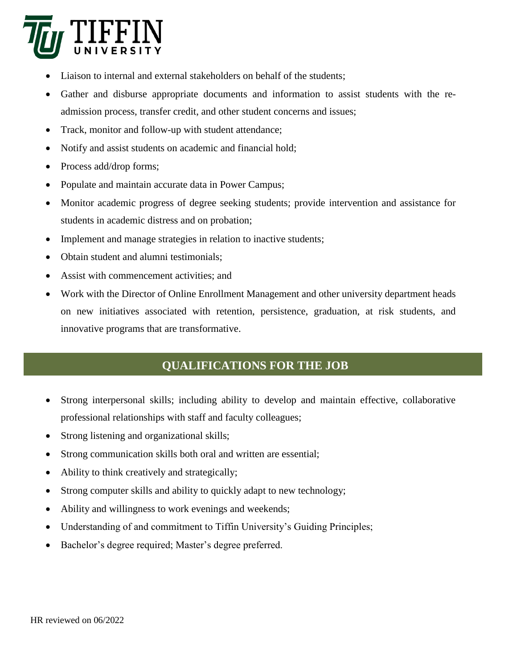

- Liaison to internal and external stakeholders on behalf of the students;
- Gather and disburse appropriate documents and information to assist students with the readmission process, transfer credit, and other student concerns and issues;
- Track, monitor and follow-up with student attendance;
- Notify and assist students on academic and financial hold;
- Process add/drop forms;
- Populate and maintain accurate data in Power Campus;
- Monitor academic progress of degree seeking students; provide intervention and assistance for students in academic distress and on probation;
- Implement and manage strategies in relation to inactive students;
- Obtain student and alumni testimonials:
- Assist with commencement activities; and
- Work with the Director of Online Enrollment Management and other university department heads on new initiatives associated with retention, persistence, graduation, at risk students, and innovative programs that are transformative.

# **QUALIFICATIONS FOR THE JOB**

- Strong interpersonal skills; including ability to develop and maintain effective, collaborative professional relationships with staff and faculty colleagues;
- Strong listening and organizational skills;
- Strong communication skills both oral and written are essential;
- Ability to think creatively and strategically;
- Strong computer skills and ability to quickly adapt to new technology;
- Ability and willingness to work evenings and weekends;
- Understanding of and commitment to Tiffin University's Guiding Principles;
- Bachelor's degree required; Master's degree preferred.